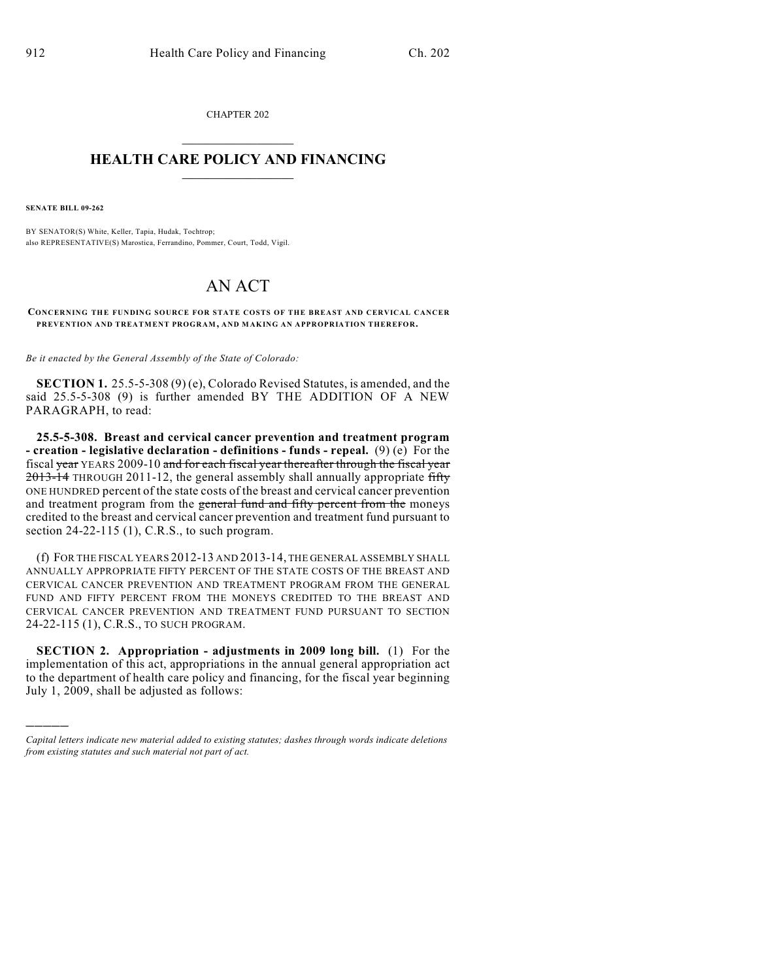CHAPTER 202  $\overline{\phantom{a}}$  . The set of the set of the set of the set of the set of the set of the set of the set of the set of the set of the set of the set of the set of the set of the set of the set of the set of the set of the set o

## **HEALTH CARE POLICY AND FINANCING**  $\_$   $\_$   $\_$   $\_$   $\_$   $\_$   $\_$   $\_$

**SENATE BILL 09-262**

)))))

BY SENATOR(S) White, Keller, Tapia, Hudak, Tochtrop; also REPRESENTATIVE(S) Marostica, Ferrandino, Pommer, Court, Todd, Vigil.

## AN ACT

**CONCERNING THE FUNDING SOURCE FOR STATE COSTS OF THE BREAST AND CERVICAL CANCER PREVENTION AND TREATMENT PROGRAM, AND MAKING AN APPROPRIATION THEREFOR.**

*Be it enacted by the General Assembly of the State of Colorado:*

**SECTION 1.** 25.5-5-308 (9) (e), Colorado Revised Statutes, is amended, and the said 25.5-5-308 (9) is further amended BY THE ADDITION OF A NEW PARAGRAPH, to read:

**25.5-5-308. Breast and cervical cancer prevention and treatment program - creation - legislative declaration - definitions - funds - repeal.** (9) (e) For the fiscal year YEARS 2009-10 and for each fiscal year thereafter through the fiscal year 2013-14 THROUGH 2011-12, the general assembly shall annually appropriate fifty ONE HUNDRED percent of the state costs of the breast and cervical cancer prevention and treatment program from the general fund and fifty percent from the moneys credited to the breast and cervical cancer prevention and treatment fund pursuant to section 24-22-115 (1), C.R.S., to such program.

(f) FOR THE FISCAL YEARS 2012-13 AND 2013-14, THE GENERAL ASSEMBLY SHALL ANNUALLY APPROPRIATE FIFTY PERCENT OF THE STATE COSTS OF THE BREAST AND CERVICAL CANCER PREVENTION AND TREATMENT PROGRAM FROM THE GENERAL FUND AND FIFTY PERCENT FROM THE MONEYS CREDITED TO THE BREAST AND CERVICAL CANCER PREVENTION AND TREATMENT FUND PURSUANT TO SECTION 24-22-115 (1), C.R.S., TO SUCH PROGRAM.

**SECTION 2. Appropriation - adjustments in 2009 long bill.** (1) For the implementation of this act, appropriations in the annual general appropriation act to the department of health care policy and financing, for the fiscal year beginning July 1, 2009, shall be adjusted as follows:

*Capital letters indicate new material added to existing statutes; dashes through words indicate deletions from existing statutes and such material not part of act.*